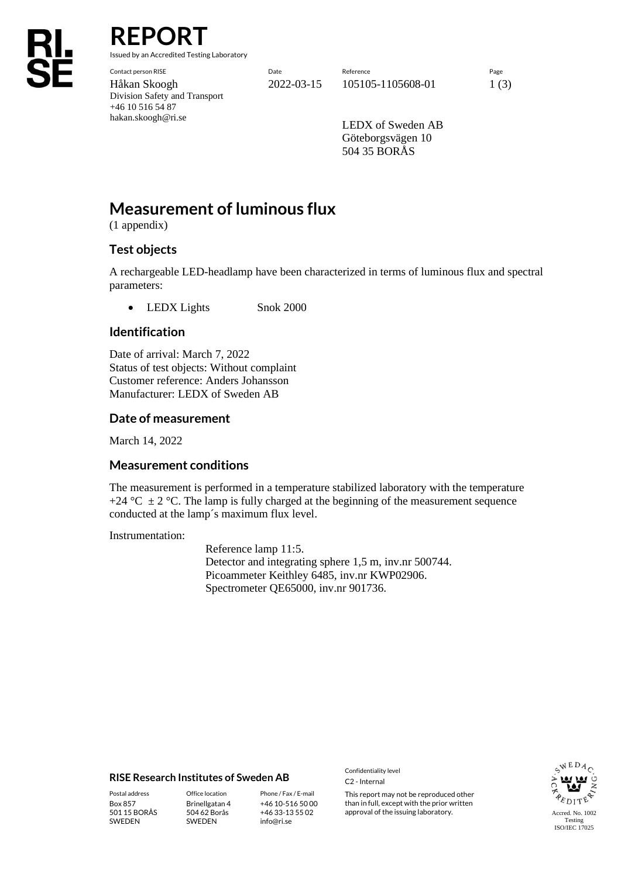**REPORT**

Issued by an Accredited Testing Laboratory

Division Safety and Transport +46 10 516 54 87 hakan.skoogh@ri.se

Contact person RISE Date Reference Page Håkan Skoogh 2022-03-15 105105-1105608-01 1 (3)

> LEDX of Sweden AB Göteborgsvägen 10 504 35 BORÅS

# **Measurement of luminous flux**

(1 appendix)

### **Test objects**

A rechargeable LED-headlamp have been characterized in terms of luminous flux and spectral parameters:

• LEDX Lights Snok 2000

### **Identification**

Date of arrival: March 7, 2022 Status of test objects: Without complaint Customer reference: Anders Johansson Manufacturer: LEDX of Sweden AB

#### **Date of measurement**

March 14, 2022

#### **Measurement conditions**

The measurement is performed in a temperature stabilized laboratory with the temperature +24  $^{\circ}$ C  $\pm$  2  $^{\circ}$ C. The lamp is fully charged at the beginning of the measurement sequence conducted at the lamp´s maximum flux level.

Instrumentation:

Reference lamp 11:5. Detector and integrating sphere 1,5 m, inv.nr 500744. Picoammeter Keithley 6485, inv.nr KWP02906. Spectrometer QE65000, inv.nr 901736.

#### **RISE Research Institutes of Sweden AB**

Box 857 501 15 BORÅS SWEDEN

Brinellgatan 4 504 62 Borås SWEDEN

+46 10-516 50 00 +46 33-13 55 02 info@ri.se

Confidentiality level C2 - Internal

Postal address **Office location** Phone / Fax / E-mail This report may not be reproduced other than in full, except with the prior written approval of the issuing laboratory.

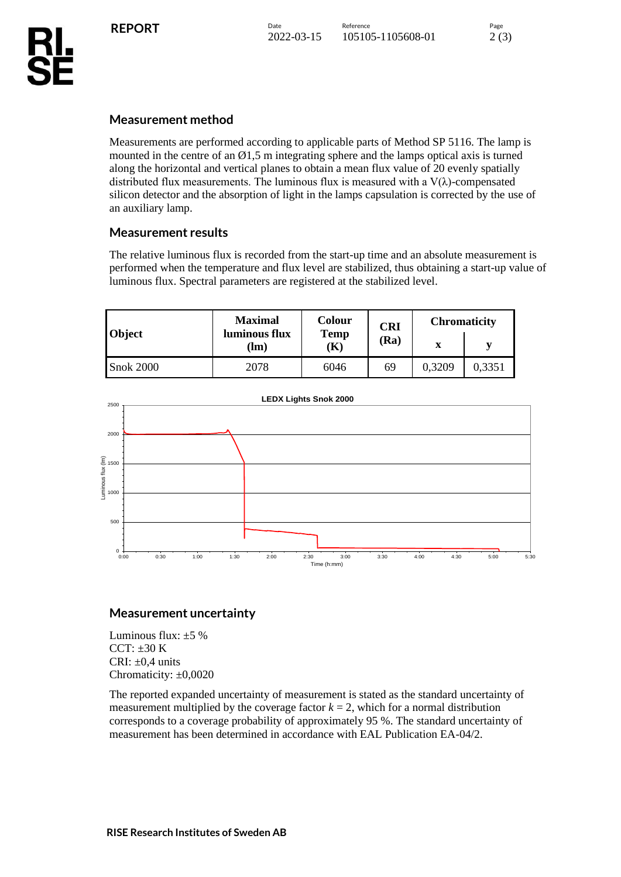## **Measurement method**

Measurements are performed according to applicable parts of Method SP 5116. The lamp is mounted in the centre of an  $\varnothing$ 1,5 m integrating sphere and the lamps optical axis is turned along the horizontal and vertical planes to obtain a mean flux value of 20 evenly spatially distributed flux measurements. The luminous flux is measured with a  $V(\lambda)$ -compensated silicon detector and the absorption of light in the lamps capsulation is corrected by the use of an auxiliary lamp.

### **Measurement results**

The relative luminous flux is recorded from the start-up time and an absolute measurement is performed when the temperature and flux level are stabilized, thus obtaining a start-up value of luminous flux. Spectral parameters are registered at the stabilized level.

| <b>Object</b>    | <b>Maximal</b><br>luminous flux<br>Im) | Colour<br><b>Temp</b><br>K) | <b>CRI</b><br>(Ra | <b>Chromaticity</b> |        |
|------------------|----------------------------------------|-----------------------------|-------------------|---------------------|--------|
|                  |                                        |                             |                   | x                   |        |
| <b>Snok 2000</b> | 2078                                   | 6046                        | 69                | 0,3209              | 0.3351 |



### **Measurement uncertainty**

Luminous flux:  $\pm 5$  % CCT:  $\pm 30$  K CRI:  $\pm 0.4$  units Chromaticity:  $\pm 0,0020$ 

The reported expanded uncertainty of measurement is stated as the standard uncertainty of measurement multiplied by the coverage factor  $k = 2$ , which for a normal distribution corresponds to a coverage probability of approximately 95 %. The standard uncertainty of measurement has been determined in accordance with EAL Publication EA-04/2.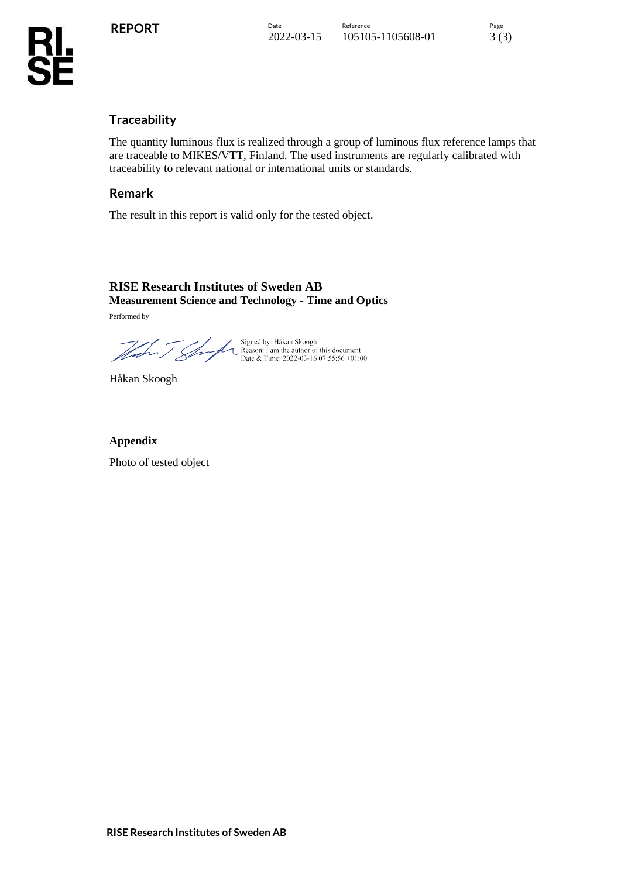### **Traceability**

The quantity luminous flux is realized through a group of luminous flux reference lamps that are traceable to MIKES/VTT, Finland. The used instruments are regularly calibrated with traceability to relevant national or international units or standards.

### **Remark**

The result in this report is valid only for the tested object.

## **RISE Research Institutes of Sweden AB Measurement Science and Technology - Time and Optics**

Performed by

Signed by: Håkan Skoogh<br>
Reason: I am the author of this document<br>
Date & Time: 2022-03-16 07:55:56 +01:00

Håkan Skoogh

### **Appendix**

Photo of tested object